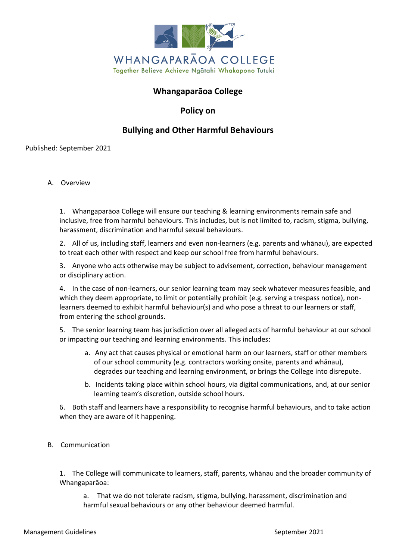

## **Whangaparāoa College**

**Policy on**

# **Bullying and Other Harmful Behaviours**

Published: September 2021

A. Overview

1. Whangaparāoa College will ensure our teaching & learning environments remain safe and inclusive, free from harmful behaviours. This includes, but is not limited to, racism, stigma, bullying, harassment, discrimination and harmful sexual behaviours.

2. All of us, including staff, learners and even non-learners (e.g. parents and whānau), are expected to treat each other with respect and keep our school free from harmful behaviours.

3. Anyone who acts otherwise may be subject to advisement, correction, behaviour management or disciplinary action.

4. In the case of non-learners, our senior learning team may seek whatever measures feasible, and which they deem appropriate, to limit or potentially prohibit (e.g. serving a trespass notice), nonlearners deemed to exhibit harmful behaviour(s) and who pose a threat to our learners or staff, from entering the school grounds.

5. The senior learning team has jurisdiction over all alleged acts of harmful behaviour at our school or impacting our teaching and learning environments. This includes:

- a. Any act that causes physical or emotional harm on our learners, staff or other members of our school community (e.g. contractors working onsite, parents and whānau), degrades our teaching and learning environment, or brings the College into disrepute.
- b. Incidents taking place within school hours, via digital communications, and, at our senior learning team's discretion, outside school hours.

6. Both staff and learners have a responsibility to recognise harmful behaviours, and to take action when they are aware of it happening.

B. Communication

1. The College will communicate to learners, staff, parents, whānau and the broader community of Whangaparāoa:

a. That we do not tolerate racism, stigma, bullying, harassment, discrimination and harmful sexual behaviours or any other behaviour deemed harmful.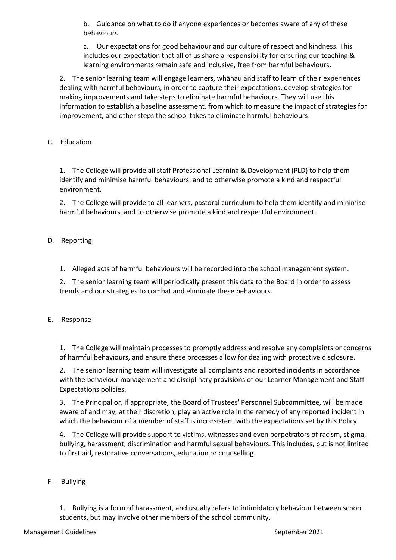b. Guidance on what to do if anyone experiences or becomes aware of any of these behaviours.

c. Our expectations for good behaviour and our culture of respect and kindness. This includes our expectation that all of us share a responsibility for ensuring our teaching & learning environments remain safe and inclusive, free from harmful behaviours.

2. The senior learning team will engage learners, whānau and staff to learn of their experiences dealing with harmful behaviours, in order to capture their expectations, develop strategies for making improvements and take steps to eliminate harmful behaviours. They will use this information to establish a baseline assessment, from which to measure the impact of strategies for improvement, and other steps the school takes to eliminate harmful behaviours.

## C. Education

1. The College will provide all staff Professional Learning & Development (PLD) to help them identify and minimise harmful behaviours, and to otherwise promote a kind and respectful environment.

2. The College will provide to all learners, pastoral curriculum to help them identify and minimise harmful behaviours, and to otherwise promote a kind and respectful environment.

## D. Reporting

1. Alleged acts of harmful behaviours will be recorded into the school management system.

2. The senior learning team will periodically present this data to the Board in order to assess trends and our strategies to combat and eliminate these behaviours.

### E. Response

1. The College will maintain processes to promptly address and resolve any complaints or concerns of harmful behaviours, and ensure these processes allow for dealing with protective disclosure.

2. The senior learning team will investigate all complaints and reported incidents in accordance with the behaviour management and disciplinary provisions of our Learner Management and Staff Expectations policies.

3. The Principal or, if appropriate, the Board of Trustees' Personnel Subcommittee, will be made aware of and may, at their discretion, play an active role in the remedy of any reported incident in which the behaviour of a member of staff is inconsistent with the expectations set by this Policy.

4. The College will provide support to victims, witnesses and even perpetrators of racism, stigma, bullying, harassment, discrimination and harmful sexual behaviours. This includes, but is not limited to first aid, restorative conversations, education or counselling.

### F. Bullying

1. Bullying is a form of harassment, and usually refers to intimidatory behaviour between school students, but may involve other members of the school community.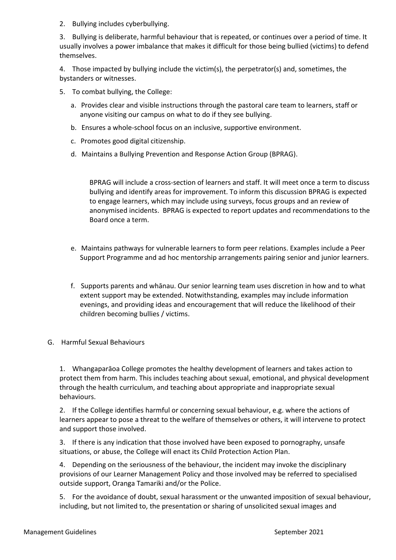2. Bullying includes cyberbullying.

3. Bullying is deliberate, harmful behaviour that is repeated, or continues over a period of time. It usually involves a power imbalance that makes it difficult for those being bullied (victims) to defend themselves.

4. Those impacted by bullying include the victim(s), the perpetrator(s) and, sometimes, the bystanders or witnesses.

- 5. To combat bullying, the College:
	- a. Provides clear and visible instructions through the pastoral care team to learners, staff or anyone visiting our campus on what to do if they see bullying.
	- b. Ensures a whole-school focus on an inclusive, supportive environment.
	- c. Promotes good digital citizenship.
	- d. Maintains a Bullying Prevention and Response Action Group (BPRAG).

BPRAG will include a cross-section of learners and staff. It will meet once a term to discuss bullying and identify areas for improvement. To inform this discussion BPRAG is expected to engage learners, which may include using surveys, focus groups and an review of anonymised incidents. BPRAG is expected to report updates and recommendations to the Board once a term.

- e. Maintains pathways for vulnerable learners to form peer relations. Examples include a Peer Support Programme and ad hoc mentorship arrangements pairing senior and junior learners.
- f. Supports parents and whānau. Our senior learning team uses discretion in how and to what extent support may be extended. Notwithstanding, examples may include information evenings, and providing ideas and encouragement that will reduce the likelihood of their children becoming bullies / victims.
- G. Harmful Sexual Behaviours

1. Whangaparāoa College promotes the healthy development of learners and takes action to protect them from harm. This includes teaching about sexual, emotional, and physical development through the health curriculum, and teaching about appropriate and inappropriate sexual behaviours.

2. If the College identifies harmful or concerning sexual behaviour, e.g. where the actions of learners appear to pose a threat to the welfare of themselves or others, it will intervene to protect and support those involved.

3. If there is any indication that those involved have been exposed to pornography, unsafe situations, or abuse, the College will enact its Child Protection Action Plan.

4. Depending on the seriousness of the behaviour, the incident may invoke the disciplinary provisions of our Learner Management Policy and those involved may be referred to specialised outside support, Oranga Tamariki and/or the Police.

5. For the avoidance of doubt, sexual harassment or the unwanted imposition of sexual behaviour, including, but not limited to, the presentation or sharing of unsolicited sexual images and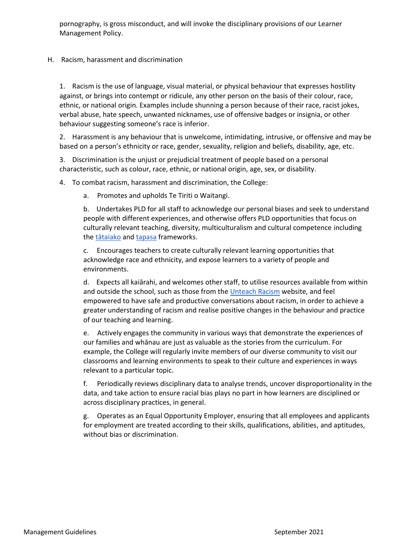pornography, is gross misconduct, and will invoke the disciplinary provisions of our Learner Management Policy.

### H. Racism, harassment and discrimination

1. Racism is the use of language, visual material, or physical behaviour that expresses hostility against, or brings into contempt or ridicule, any other person on the basis of their colour, race, ethnic, or national origin. Examples include shunning a person because of their race, racist jokes, verbal abuse, hate speech, unwanted nicknames, use of offensive badges or insignia, or other behaviour suggesting someone's race is inferior.

2. Harassment is any behaviour that is unwelcome, intimidating, intrusive, or offensive and may be based on a person's ethnicity or race, gender, sexuality, religion and beliefs, disability, age, etc.

3. Discrimination is the unjust or prejudicial treatment of people based on a personal characteristic, such as colour, race, ethnic, or national origin, age, sex, or disability.

4. To combat racism, harassment and discrimination, the College:

a. Promotes and upholds Te Tiriti o Waitangi.

b. Undertakes PLD for all staff to acknowledge our personal biases and seek to understand people with different experiences, and otherwise offers PLD opportunities that focus on culturally relevant teaching, diversity, multiculturalism and cultural competence including the [tātaiak](https://teachingcouncil.nz/resource-centre/tataiako-cultural-competencies-for-teachers-of-maori-learners/)o and [tapasa](https://teachingcouncil.nz/assets/Files/Tapasa/Tapasa-Cultural-Competencies-Framework-for-Teachers-of-Pacific-Learners-2019.pdf) frameworks.

c. Encourages teachers to create culturally relevant learning opportunities that acknowledge race and ethnicity, and expose learners to a variety of people and environments.

d. Expects all kaiārahi, and welcomes other staff, to utilise resources available from within and outside the school, such as those from the [Unteach Racism](https://www.unteachracism.nz/) website, and feel empowered to have safe and productive conversations about racism, in order to achieve a greater understanding of racism and realise positive changes in the behaviour and practice of our teaching and learning.

e. Actively engages the community in various ways that demonstrate the experiences of our families and whānau are just as valuable as the stories from the curriculum. For example, the College will regularly invite members of our diverse community to visit our classrooms and learning environments to speak to their culture and experiences in ways relevant to a particular topic.

f. Periodically reviews disciplinary data to analyse trends, uncover disproportionality in the data, and take action to ensure racial bias plays no part in how learners are disciplined or across disciplinary practices, in general.

g. Operates as an Equal Opportunity Employer, ensuring that all employees and applicants for employment are treated according to their skills, qualifications, abilities, and aptitudes, without bias or discrimination.